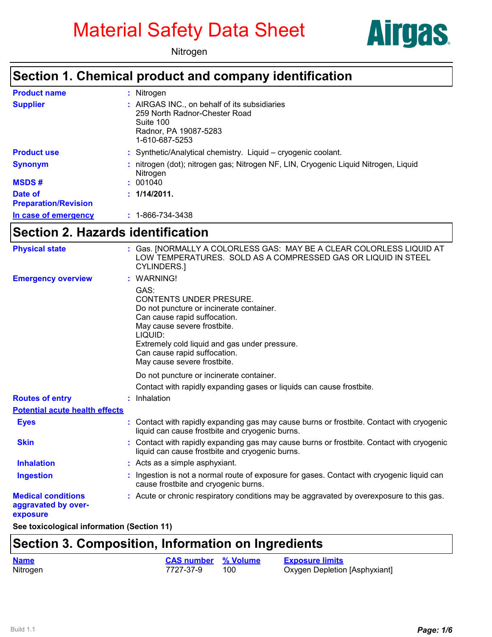# Material Safety Data Sheet





#### **Section 1. Chemical product and company identification**

| <b>Product name</b>                    | : Nitrogen                                                                                                                            |
|----------------------------------------|---------------------------------------------------------------------------------------------------------------------------------------|
| <b>Supplier</b>                        | : AIRGAS INC., on behalf of its subsidiaries<br>259 North Radnor-Chester Road<br>Suite 100<br>Radnor, PA 19087-5283<br>1-610-687-5253 |
| <b>Product use</b>                     | : Synthetic/Analytical chemistry. Liquid – cryogenic coolant.                                                                         |
| <b>Synonym</b>                         | nitrogen (dot); nitrogen gas; Nitrogen NF, LIN, Cryogenic Liquid Nitrogen, Liquid<br>Nitrogen                                         |
| <b>MSDS#</b>                           | : 001040                                                                                                                              |
| Date of<br><b>Preparation/Revision</b> | : 1/14/2011.                                                                                                                          |
| In case of emergency                   | $: 1 - 866 - 734 - 3438$                                                                                                              |

## **Section 2. Hazards identification**

| <b>Physical state</b>                                        | : Gas. [NORMALLY A COLORLESS GAS: MAY BE A CLEAR COLORLESS LIQUID AT<br>LOW TEMPERATURES. SOLD AS A COMPRESSED GAS OR LIQUID IN STEEL<br><b>CYLINDERS.</b>                                                                                                                   |
|--------------------------------------------------------------|------------------------------------------------------------------------------------------------------------------------------------------------------------------------------------------------------------------------------------------------------------------------------|
| <b>Emergency overview</b>                                    | : WARNING!                                                                                                                                                                                                                                                                   |
|                                                              | GAS:<br><b>CONTENTS UNDER PRESURE.</b><br>Do not puncture or incinerate container.<br>Can cause rapid suffocation.<br>May cause severe frostbite.<br>LIQUID:<br>Extremely cold liquid and gas under pressure.<br>Can cause rapid suffocation.<br>May cause severe frostbite. |
|                                                              | Do not puncture or incinerate container.                                                                                                                                                                                                                                     |
|                                                              | Contact with rapidly expanding gases or liquids can cause frostbite.                                                                                                                                                                                                         |
| <b>Routes of entry</b>                                       | : Inhalation                                                                                                                                                                                                                                                                 |
| <b>Potential acute health effects</b>                        |                                                                                                                                                                                                                                                                              |
| <b>Eyes</b>                                                  | : Contact with rapidly expanding gas may cause burns or frostbite. Contact with cryogenic<br>liquid can cause frostbite and cryogenic burns.                                                                                                                                 |
| <b>Skin</b>                                                  | : Contact with rapidly expanding gas may cause burns or frostbite. Contact with cryogenic<br>liquid can cause frostbite and cryogenic burns.                                                                                                                                 |
| <b>Inhalation</b>                                            | : Acts as a simple asphyxiant.                                                                                                                                                                                                                                               |
| <b>Ingestion</b>                                             | Ingestion is not a normal route of exposure for gases. Contact with cryogenic liquid can<br>cause frostbite and cryogenic burns.                                                                                                                                             |
| <b>Medical conditions</b><br>aggravated by over-<br>exposure | : Acute or chronic respiratory conditions may be aggravated by overexposure to this gas.                                                                                                                                                                                     |
|                                                              |                                                                                                                                                                                                                                                                              |

**See toxicological information (Section 11)**

### **Section 3. Composition, Information on Ingredients**

| <b>Name</b> | <b>CAS number</b> % Volume | <b>Exposure limits</b>        |
|-------------|----------------------------|-------------------------------|
| Nitrogen    | 7727-37-9                  | Oxygen Depletion [Asphyxiant] |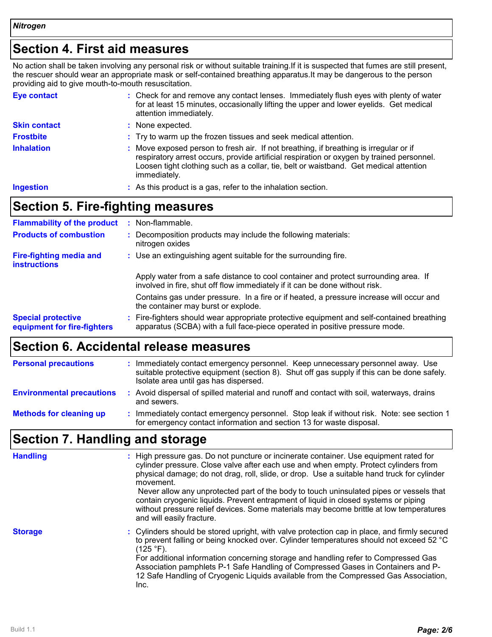## **Section 4. First aid measures**

No action shall be taken involving any personal risk or without suitable training.If it is suspected that fumes are still present, the rescuer should wear an appropriate mask or self-contained breathing apparatus.It may be dangerous to the person providing aid to give mouth-to-mouth resuscitation.

| Eye contact         | : Check for and remove any contact lenses. Immediately flush eyes with plenty of water<br>for at least 15 minutes, occasionally lifting the upper and lower eyelids. Get medical<br>attention immediately.                                                                                  |
|---------------------|---------------------------------------------------------------------------------------------------------------------------------------------------------------------------------------------------------------------------------------------------------------------------------------------|
| <b>Skin contact</b> | : None expected.                                                                                                                                                                                                                                                                            |
| <b>Frostbite</b>    | : Try to warm up the frozen tissues and seek medical attention.                                                                                                                                                                                                                             |
| <b>Inhalation</b>   | : Move exposed person to fresh air. If not breathing, if breathing is irregular or if<br>respiratory arrest occurs, provide artificial respiration or oxygen by trained personnel.<br>Loosen tight clothing such as a collar, tie, belt or waistband. Get medical attention<br>immediately. |
| <b>Ingestion</b>    | : As this product is a gas, refer to the inhalation section.                                                                                                                                                                                                                                |

## **Section 5. Fire-fighting measures**

| <b>Flammability of the product</b>                       | : Non-flammable.                                                                                                                                                         |
|----------------------------------------------------------|--------------------------------------------------------------------------------------------------------------------------------------------------------------------------|
| <b>Products of combustion</b>                            | : Decomposition products may include the following materials:<br>nitrogen oxides                                                                                         |
| <b>Fire-fighting media and</b><br><b>instructions</b>    | : Use an extinguishing agent suitable for the surrounding fire.                                                                                                          |
|                                                          | Apply water from a safe distance to cool container and protect surrounding area. If<br>involved in fire, shut off flow immediately if it can be done without risk.       |
|                                                          | Contains gas under pressure. In a fire or if heated, a pressure increase will occur and<br>the container may burst or explode.                                           |
| <b>Special protective</b><br>equipment for fire-fighters | : Fire-fighters should wear appropriate protective equipment and self-contained breathing<br>apparatus (SCBA) with a full face-piece operated in positive pressure mode. |

## **Section 6. Accidental release measures**

| <b>Personal precautions</b>      | Immediately contact emergency personnel. Keep unnecessary personnel away. Use<br>suitable protective equipment (section 8). Shut off gas supply if this can be done safely.<br>Isolate area until gas has dispersed. |
|----------------------------------|----------------------------------------------------------------------------------------------------------------------------------------------------------------------------------------------------------------------|
| <b>Environmental precautions</b> | : Avoid dispersal of spilled material and runoff and contact with soil, waterways, drains<br>and sewers.                                                                                                             |
| <b>Methods for cleaning up</b>   | Immediately contact emergency personnel. Stop leak if without risk. Note: see section 1<br>for emergency contact information and section 13 for waste disposal.                                                      |

## **Section 7. Handling and storage**

| <b>Handling</b> | : High pressure gas. Do not puncture or incinerate container. Use equipment rated for<br>cylinder pressure. Close valve after each use and when empty. Protect cylinders from<br>physical damage; do not drag, roll, slide, or drop. Use a suitable hand truck for cylinder<br>movement.<br>Never allow any unprotected part of the body to touch uninsulated pipes or vessels that<br>contain cryogenic liquids. Prevent entrapment of liquid in closed systems or piping<br>without pressure relief devices. Some materials may become brittle at low temperatures<br>and will easily fracture. |
|-----------------|---------------------------------------------------------------------------------------------------------------------------------------------------------------------------------------------------------------------------------------------------------------------------------------------------------------------------------------------------------------------------------------------------------------------------------------------------------------------------------------------------------------------------------------------------------------------------------------------------|
| <b>Storage</b>  | : Cylinders should be stored upright, with valve protection cap in place, and firmly secured<br>to prevent falling or being knocked over. Cylinder temperatures should not exceed 52 °C<br>(125 °F).<br>For additional information concerning storage and handling refer to Compressed Gas<br>Association pamphlets P-1 Safe Handling of Compressed Gases in Containers and P-<br>12 Safe Handling of Cryogenic Liquids available from the Compressed Gas Association,<br>Inc.                                                                                                                    |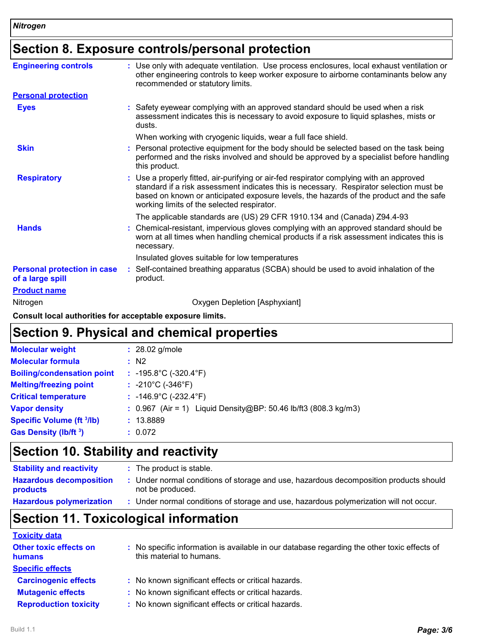## **Section 8. Exposure controls/personal protection**

| <b>Engineering controls</b>                            | : Use only with adequate ventilation. Use process enclosures, local exhaust ventilation or<br>other engineering controls to keep worker exposure to airborne contaminants below any<br>recommended or statutory limits.                                                                                                    |
|--------------------------------------------------------|----------------------------------------------------------------------------------------------------------------------------------------------------------------------------------------------------------------------------------------------------------------------------------------------------------------------------|
| <b>Personal protection</b>                             |                                                                                                                                                                                                                                                                                                                            |
| <b>Eyes</b>                                            | Safety eyewear complying with an approved standard should be used when a risk<br>assessment indicates this is necessary to avoid exposure to liquid splashes, mists or<br>dusts.                                                                                                                                           |
|                                                        | When working with cryogenic liquids, wear a full face shield.                                                                                                                                                                                                                                                              |
| <b>Skin</b>                                            | Personal protective equipment for the body should be selected based on the task being<br>performed and the risks involved and should be approved by a specialist before handling<br>this product.                                                                                                                          |
| <b>Respiratory</b>                                     | : Use a properly fitted, air-purifying or air-fed respirator complying with an approved<br>standard if a risk assessment indicates this is necessary. Respirator selection must be<br>based on known or anticipated exposure levels, the hazards of the product and the safe<br>working limits of the selected respirator. |
|                                                        | The applicable standards are (US) 29 CFR 1910.134 and (Canada) Z94.4-93                                                                                                                                                                                                                                                    |
| <b>Hands</b>                                           | Chemical-resistant, impervious gloves complying with an approved standard should be<br>worn at all times when handling chemical products if a risk assessment indicates this is<br>necessary.                                                                                                                              |
|                                                        | Insulated gloves suitable for low temperatures                                                                                                                                                                                                                                                                             |
| <b>Personal protection in case</b><br>of a large spill | Self-contained breathing apparatus (SCBA) should be used to avoid inhalation of the<br>product.                                                                                                                                                                                                                            |
| <b>Product name</b>                                    |                                                                                                                                                                                                                                                                                                                            |
| Nitrogen                                               | Oxygen Depletion [Asphyxiant]                                                                                                                                                                                                                                                                                              |
|                                                        |                                                                                                                                                                                                                                                                                                                            |

**Consult local authorities for acceptable exposure limits.**

### **Section 9. Physical and chemical properties**

| <b>Molecular weight</b>           | $: 28.02$ g/mole                                                  |
|-----------------------------------|-------------------------------------------------------------------|
| <b>Molecular formula</b>          | $\therefore$ N2                                                   |
| <b>Boiling/condensation point</b> | : $-195.8^{\circ}$ C ( $-320.4^{\circ}$ F)                        |
| <b>Melting/freezing point</b>     | : $-210^{\circ}$ C ( $-346^{\circ}$ F)                            |
| <b>Critical temperature</b>       | : $-146.9^{\circ}C$ ( $-232.4^{\circ}F$ )                         |
| <b>Vapor density</b>              | : $0.967$ (Air = 1) Liquid Density@BP: 50.46 lb/ft3 (808.3 kg/m3) |
| <b>Specific Volume (ft 3/lb)</b>  | : 13.8889                                                         |
| <b>Gas Density (Ib/ft 3)</b>      | : 0.072                                                           |

## **Section 10. Stability and reactivity**

| <b>Stability and reactivity</b>            | : The product is stable.                                                                                  |
|--------------------------------------------|-----------------------------------------------------------------------------------------------------------|
| <b>Hazardous decomposition</b><br>products | : Under normal conditions of storage and use, hazardous decomposition products should<br>not be produced. |
| <b>Hazardous polymerization</b>            | : Under normal conditions of storage and use, hazardous polymerization will not occur.                    |

## **Section 11. Toxicological information**

#### **Toxicity data**

| <b>TUAIGILY UGLA</b>                           |                                                                                                                         |
|------------------------------------------------|-------------------------------------------------------------------------------------------------------------------------|
| <b>Other toxic effects on</b><br><b>humans</b> | : No specific information is available in our database regarding the other toxic effects of<br>this material to humans. |
| <b>Specific effects</b>                        |                                                                                                                         |
| <b>Carcinogenic effects</b>                    | : No known significant effects or critical hazards.                                                                     |
| <b>Mutagenic effects</b>                       | : No known significant effects or critical hazards.                                                                     |
| <b>Reproduction toxicity</b>                   | : No known significant effects or critical hazards.                                                                     |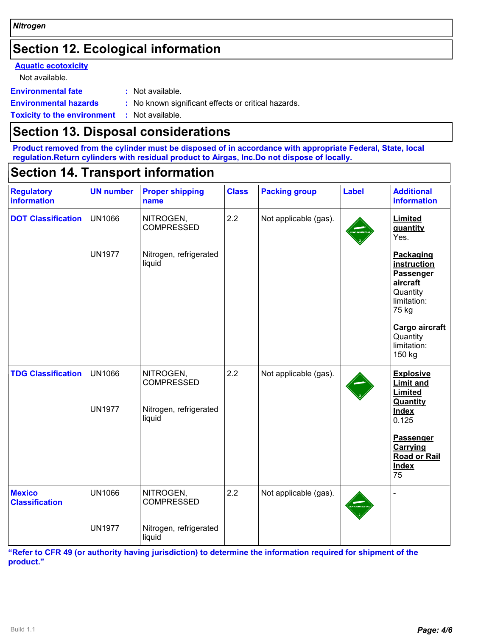## **Section 12. Ecological information**

#### **Aquatic ecotoxicity**

Not available.

**Environmental fate :** Not available.

**Environmental hazards :** No known significant effects or critical hazards.

**Toxicity to the environment :** Not available.

#### **Section 13. Disposal considerations**

**Product removed from the cylinder must be disposed of in accordance with appropriate Federal, State, local regulation.Return cylinders with residual product to Airgas, Inc.Do not dispose of locally.**

#### **Section 14. Transport information**

| <b>Regulatory</b>                      | <b>UN number</b>               | <b>Proper shipping</b>                                   | <b>Class</b> | <b>Packing group</b>  | <b>Label</b> | <b>Additional</b>                                                                     |
|----------------------------------------|--------------------------------|----------------------------------------------------------|--------------|-----------------------|--------------|---------------------------------------------------------------------------------------|
| <b>information</b>                     |                                | name                                                     |              |                       |              | information                                                                           |
| <b>DOT Classification</b>              | <b>UN1066</b>                  | NITROGEN,<br><b>COMPRESSED</b>                           | 2.2          | Not applicable (gas). |              | Limited<br>quantity<br>Yes.                                                           |
|                                        | <b>UN1977</b>                  | Nitrogen, refrigerated<br>liquid                         |              |                       |              | Packaging<br>instruction<br>Passenger<br>aircraft<br>Quantity<br>limitation:<br>75 kg |
|                                        |                                |                                                          |              |                       |              | Cargo aircraft<br>Quantity<br>limitation:<br>150 kg                                   |
| <b>TDG Classification</b>              | <b>UN1066</b><br><b>UN1977</b> | NITROGEN,<br><b>COMPRESSED</b><br>Nitrogen, refrigerated | 2.2          | Not applicable (gas). |              | <b>Explosive</b><br><b>Limit and</b><br>Limited<br>Quantity<br><b>Index</b>           |
|                                        |                                | liquid                                                   |              |                       |              | 0.125<br><b>Passenger</b><br>Carrying<br><b>Road or Rail</b><br><b>Index</b><br>75    |
| <b>Mexico</b><br><b>Classification</b> | <b>UN1066</b>                  | NITROGEN,<br><b>COMPRESSED</b>                           | 2.2          | Not applicable (gas). |              |                                                                                       |
|                                        | <b>UN1977</b>                  | Nitrogen, refrigerated<br>liquid                         |              |                       |              |                                                                                       |

**"Refer to CFR 49 (or authority having jurisdiction) to determine the information required for shipment of the product."**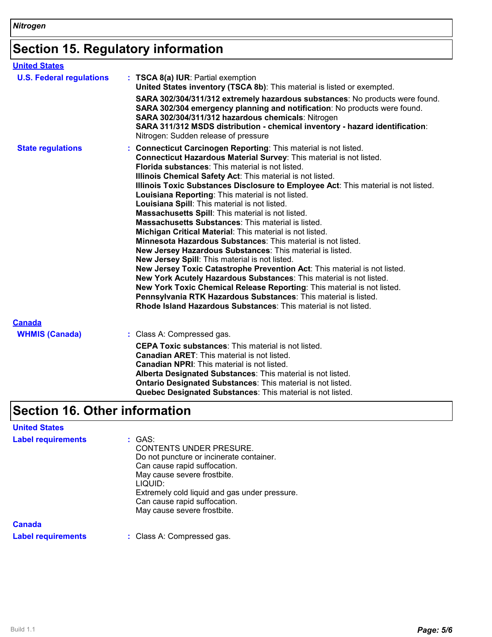## **Section 15. Regulatory information**

| <b>United States</b>            |                                                                                                                                                                                                                                                                                                                                                                                                                                                                                                                                                                                                                                                                                                                                                                                                                                                                                                                                                                                                                                                                                                                                                                                                |
|---------------------------------|------------------------------------------------------------------------------------------------------------------------------------------------------------------------------------------------------------------------------------------------------------------------------------------------------------------------------------------------------------------------------------------------------------------------------------------------------------------------------------------------------------------------------------------------------------------------------------------------------------------------------------------------------------------------------------------------------------------------------------------------------------------------------------------------------------------------------------------------------------------------------------------------------------------------------------------------------------------------------------------------------------------------------------------------------------------------------------------------------------------------------------------------------------------------------------------------|
| <b>U.S. Federal regulations</b> | : TSCA 8(a) IUR: Partial exemption<br>United States inventory (TSCA 8b): This material is listed or exempted.                                                                                                                                                                                                                                                                                                                                                                                                                                                                                                                                                                                                                                                                                                                                                                                                                                                                                                                                                                                                                                                                                  |
|                                 | SARA 302/304/311/312 extremely hazardous substances: No products were found.<br>SARA 302/304 emergency planning and notification: No products were found.<br>SARA 302/304/311/312 hazardous chemicals: Nitrogen<br>SARA 311/312 MSDS distribution - chemical inventory - hazard identification:<br>Nitrogen: Sudden release of pressure                                                                                                                                                                                                                                                                                                                                                                                                                                                                                                                                                                                                                                                                                                                                                                                                                                                        |
| <b>State regulations</b>        | : Connecticut Carcinogen Reporting: This material is not listed.<br>Connecticut Hazardous Material Survey: This material is not listed.<br>Florida substances: This material is not listed.<br>Illinois Chemical Safety Act: This material is not listed.<br>Illinois Toxic Substances Disclosure to Employee Act: This material is not listed.<br>Louisiana Reporting: This material is not listed.<br>Louisiana Spill: This material is not listed.<br>Massachusetts Spill: This material is not listed.<br><b>Massachusetts Substances: This material is listed.</b><br>Michigan Critical Material: This material is not listed.<br><b>Minnesota Hazardous Substances:</b> This material is not listed.<br>New Jersey Hazardous Substances: This material is listed.<br>New Jersey Spill: This material is not listed.<br>New Jersey Toxic Catastrophe Prevention Act: This material is not listed.<br>New York Acutely Hazardous Substances: This material is not listed.<br>New York Toxic Chemical Release Reporting: This material is not listed.<br>Pennsylvania RTK Hazardous Substances: This material is listed.<br>Rhode Island Hazardous Substances: This material is not listed. |
| <b>Canada</b>                   |                                                                                                                                                                                                                                                                                                                                                                                                                                                                                                                                                                                                                                                                                                                                                                                                                                                                                                                                                                                                                                                                                                                                                                                                |
| <b>WHMIS (Canada)</b>           | : Class A: Compressed gas.<br><b>CEPA Toxic substances:</b> This material is not listed.<br><b>Canadian ARET:</b> This material is not listed.<br><b>Canadian NPRI:</b> This material is not listed.<br>Alberta Designated Substances: This material is not listed.<br><b>Ontario Designated Substances: This material is not listed.</b><br>Quebec Designated Substances: This material is not listed.                                                                                                                                                                                                                                                                                                                                                                                                                                                                                                                                                                                                                                                                                                                                                                                        |

## **Section 16. Other information**

| <b>United States</b>      |                                                                                                                                                                                                                                                                                |
|---------------------------|--------------------------------------------------------------------------------------------------------------------------------------------------------------------------------------------------------------------------------------------------------------------------------|
| <b>Label requirements</b> | : GAS:<br><b>CONTENTS UNDER PRESURE.</b><br>Do not puncture or incinerate container.<br>Can cause rapid suffocation.<br>May cause severe frostbite.<br>LIQUID:<br>Extremely cold liquid and gas under pressure.<br>Can cause rapid suffocation.<br>May cause severe frostbite. |
| Canada                    |                                                                                                                                                                                                                                                                                |
| <b>Label requirements</b> | : Class A: Compressed gas.                                                                                                                                                                                                                                                     |